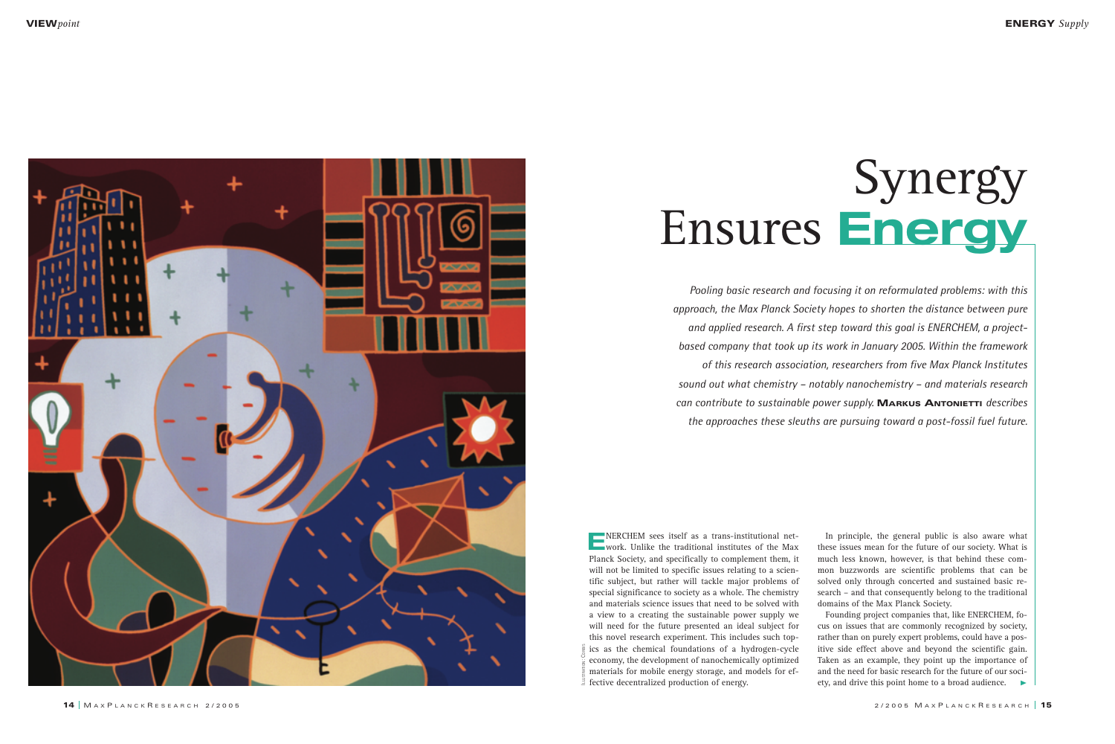

In principle, the general public is also aware what these issues mean for the future of our society. What is much less known, however, is that behind these common buzzwords are scientific problems that can be solved only through concerted and sustained basic research – and that consequently belong to the traditional domains of the Max Planck Society.

Founding project companies that, like ENERCHEM, focus on issues that are commonly recognized by society, rather than on purely expert problems, could have a positive side effect above and beyond the scientific gain. Taken as an example, they point up the importance of and the need for basic research for the future of our society, and drive this point home to a broad audience.

## Synergy Ensures **Energy**

*Pooling basic research and focusing it on reformulated problems: with this approach, the Max Planck Society hopes to shorten the distance between pure and applied research. A first step toward this goal is ENERCHEM, a projectbased company that took up its work in January 2005. Within the framework of this research association, researchers from five Max Planck Institutes sound out what chemistry – notably nanochemistry – and materials research can contribute to sustainable power supply.* **MARKUS ANTONIETTI** *describes the approaches these sleuths are pursuing toward a post-fossil fuel future.*

**E**NERCHEM sees itself as a trans-institutional net-<br>
work. Unlike the traditional institutes of the Max Planck Society, and specifically to complement them, it will not be limited to specific issues relating to a scientific subject, but rather will tackle major problems of special significance to society as a whole. The chemistry and materials science issues that need to be solved with a view to a creating the sustainable power supply we will need for the future presented an ideal subject for this novel research experiment. This includes such topics as the chemical foundations of a hydrogen-cycle economy, the development of nanochemically optimized materials for mobile energy storage, and models for ef- $\frac{3}{2}$  fective decentralized production of energy.

ILLUSTRATION: CORBIS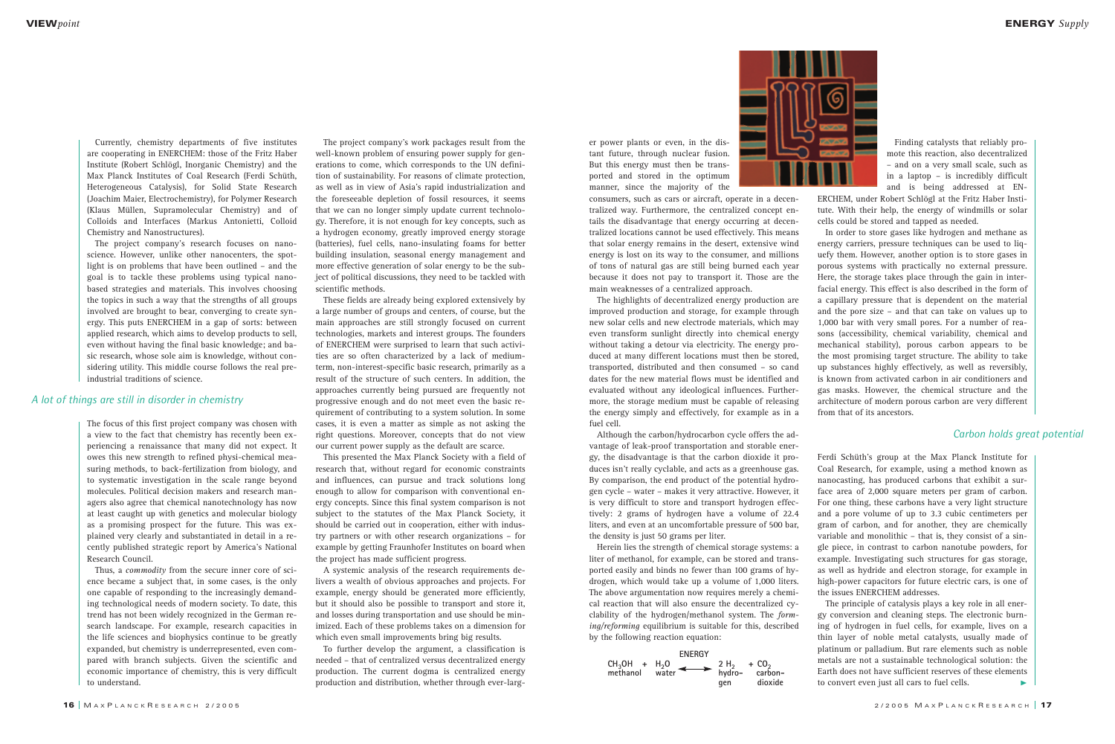| ٦<br>ī<br>۹ | ٠     |  |
|-------------|-------|--|
| ٠<br>o      | e est |  |

The project company's work packages result from the well-known problem of ensuring power supply for generations to come, which corresponds to the UN definition of sustainability. For reasons of climate protection, as well as in view of Asia's rapid industrialization and the foreseeable depletion of fossil resources, it seems that we can no longer simply update current technology. Therefore, it is not enough for key concepts, such as a hydrogen economy, greatly improved energy storage (batteries), fuel cells, nano-insulating foams for better building insulation, seasonal energy management and more effective generation of solar energy to be the subject of political discussions, they need to be tackled with scientific methods.

These fields are already being explored extensively by a large number of groups and centers, of course, but the main approaches are still strongly focused on current technologies, markets and interest groups. The founders of ENERCHEM were surprised to learn that such activities are so often characterized by a lack of mediumterm, non-interest-specific basic research, primarily as a result of the structure of such centers. In addition, the approaches currently being pursued are frequently not progressive enough and do not meet even the basic requirement of contributing to a system solution. In some cases, it is even a matter as simple as not asking the right questions. Moreover, concepts that do not view our current power supply as the default are scarce.

This presented the Max Planck Society with a field of research that, without regard for economic constraints and influences, can pursue and track solutions long enough to allow for comparison with conventional energy concepts. Since this final system comparison is not subject to the statutes of the Max Planck Society, it should be carried out in cooperation, either with industry partners or with other research organizations – for example by getting Fraunhofer Institutes on board when the project has made sufficient progress.

A systemic analysis of the research requirements delivers a wealth of obvious approaches and projects. For example, energy should be generated more efficiently, but it should also be possible to transport and store it, and losses during transportation and use should be minimized. Each of these problems takes on a dimension for which even small improvements bring big results.

To further develop the argument, a classification is needed – that of centralized versus decentralized energy production. The current dogma is centralized energy production and distribution, whether through ever-larg-

Finding catalysts that reliably promote this reaction, also decentralized – and on a very small scale, such as in a laptop – is incredibly difficult and is being addressed at EN-

ERCHEM, under Robert Schlögl at the Fritz Haber Institute. With their help, the energy of windmills or solar cells could be stored and tapped as needed.

In order to store gases like hydrogen and methane as energy carriers, pressure techniques can be used to liquefy them. However, another option is to store gases in porous systems with practically no external pressure. Here, the storage takes place through the gain in interfacial energy. This effect is also described in the form of a capillary pressure that is dependent on the material and the pore size – and that can take on values up to 1,000 bar with very small pores. For a number of reasons (accessibility, chemical variability, chemical and mechanical stability), porous carbon appears to be the most promising target structure. The ability to take up substances highly effectively, as well as reversibly, is known from activated carbon in air conditioners and gas masks. However, the chemical structure and the architecture of modern porous carbon are very different from that of its ancestors.

Currently, chemistry departments of five institutes are cooperating in ENERCHEM: those of the Fritz Haber Institute (Robert Schlögl, Inorganic Chemistry) and the Max Planck Institutes of Coal Research (Ferdi Schüth, Heterogeneous Catalysis), for Solid State Research (Joachim Maier, Electrochemistry), for Polymer Research (Klaus Müllen, Supramolecular Chemistry) and of Colloids and Interfaces (Markus Antonietti, Colloid Chemistry and Nanostructures).

The project company's research focuses on nanoscience. However, unlike other nanocenters, the spotlight is on problems that have been outlined – and the goal is to tackle these problems using typical nanobased strategies and materials. This involves choosing the topics in such a way that the strengths of all groups involved are brought to bear, converging to create synergy. This puts ENERCHEM in a gap of sorts: between applied research, which aims to develop products to sell, even without having the final basic knowledge; and basic research, whose sole aim is knowledge, without considering utility. This middle course follows the real preindustrial traditions of science.

er power plants or even, in the distant future, through nuclear fusion. But this energy must then be transported and stored in the optimum manner, since the majority of the

consumers, such as cars or aircraft, operate in a decentralized way. Furthermore, the centralized concept entails the disadvantage that energy occurring at decentralized locations cannot be used effectively. This means that solar energy remains in the desert, extensive wind energy is lost on its way to the consumer, and millions of tons of natural gas are still being burned each year because it does not pay to transport it. Those are the main weaknesses of a centralized approach.

The highlights of decentralized energy production are improved production and storage, for example through new solar cells and new electrode materials, which may even transform sunlight directly into chemical energy without taking a detour via electricity. The energy produced at many different locations must then be stored, transported, distributed and then consumed – so cand dates for the new material flows must be identified and evaluated without any ideological influences. Furthermore, the storage medium must be capable of releasing the energy simply and effectively, for example as in a fuel cell.

Although the carbon/hydrocarbon cycle offers the advantage of leak-proof transportation and storable energy, the disadvantage is that the carbon dioxide it produces isn't really cyclable, and acts as a greenhouse gas. By comparison, the end product of the potential hydrogen cycle – water – makes it very attractive. However, it is very difficult to store and transport hydrogen effectively: 2 grams of hydrogen have a volume of 22.4 liters, and even at an uncomfortable pressure of 500 bar, the density is just 50 grams per liter.

Herein lies the strength of chemical storage systems: a liter of methanol, for example, can be stored and transported easily and binds no fewer than 100 grams of hydrogen, which would take up a volume of 1,000 liters. The above argumentation now requires merely a chemical reaction that will also ensure the decentralized cyclability of the hydrogen/methanol system. The *forming/reforming* equilibrium is suitable for this, described by the following reaction equation:



The focus of this first project company was chosen with a view to the fact that chemistry has recently been experiencing a renaissance that many did not expect. It owes this new strength to refined physi-chemical measuring methods, to back-fertilization from biology, and to systematic investigation in the scale range beyond molecules. Political decision makers and research managers also agree that chemical nanotechnology has now at least caught up with genetics and molecular biology as a promising prospect for the future. This was explained very clearly and substantiated in detail in a recently published strategic report by America's National Research Council.

Thus, a *commodity* from the secure inner core of science became a subject that, in some cases, is the only one capable of responding to the increasingly demanding technological needs of modern society. To date, this trend has not been widely recognized in the German research landscape. For example, research capacities in the life sciences and biophysics continue to be greatly expanded, but chemistry is underrepresented, even compared with branch subjects. Given the scientific and economic importance of chemistry, this is very difficult to understand.

Ferdi Schüth's group at the Max Planck Institute for Coal Research, for example, using a method known as nanocasting, has produced carbons that exhibit a surface area of 2,000 square meters per gram of carbon. For one thing, these carbons have a very light structure and a pore volume of up to 3.3 cubic centimeters per gram of carbon, and for another, they are chemically variable and monolithic – that is, they consist of a single piece, in contrast to carbon nanotube powders, for example. Investigating such structures for gas storage, as well as hydride and electron storage, for example in high-power capacitors for future electric cars, is one of the issues ENERCHEM addresses.

The principle of catalysis plays a key role in all energy conversion and cleaning steps. The electronic burning of hydrogen in fuel cells, for example, lives on a thin layer of noble metal catalysts, usually made of platinum or palladium. But rare elements such as noble metals are not a sustainable technological solution: the Earth does not have sufficient reserves of these elements to convert even just all cars to fuel cells.

## *A lot of things are still in disorder in chemistry*

## *Carbon holds great potential*